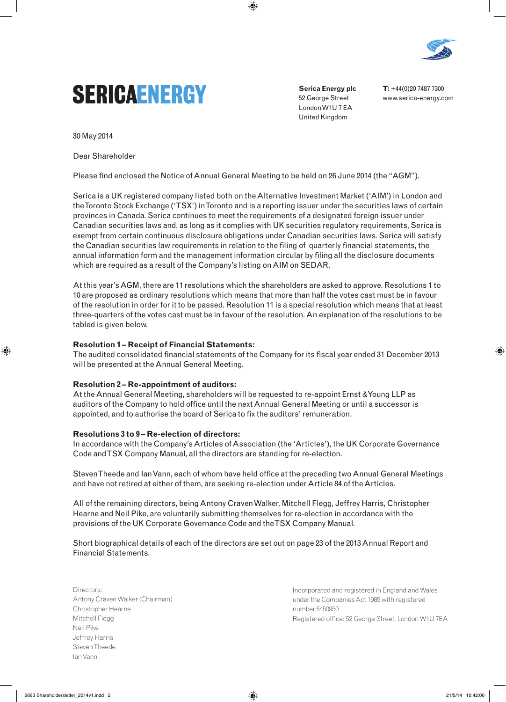



**Serica Energy plc** 52 George Street London W1U 7 EA United Kingdom

**T:** +44(0)20 7487 7300 www.serica-energy.com

30 May 2014

⊕

Dear Shareholder

Please find enclosed the Notice of Annual General Meeting to be held on 26 June 2014 (the "AGM").

 $\textcircled{\scriptsize\textsf{t}}$ 

Serica is a UK registered company listed both on the Alternative Investment Market ('AIM') in London and the Toronto Stock Exchange ('TSX') in Toronto and is a reporting issuer under the securities laws of certain provinces in Canada. Serica continues to meet the requirements of a designated foreign issuer under Canadian securities laws and, as long as it complies with UK securities regulatory requirements, Serica is exempt from certain continuous disclosure obligations under Canadian securities laws. Serica will satisfy the Canadian securities law requirements in relation to the filing of quarterly financial statements, the annual information form and the management information circular by filing all the disclosure documents which are required as a result of the Company's listing on AIM on SEDAR.

At this year's AGM, there are 11 resolutions which the shareholders are asked to approve. Resolutions 1 to 10 are proposed as ordinary resolutions which means that more than half the votes cast must be in favour of the resolution in order for it to be passed. Resolution 11 is a special resolution which means that at least three-quarters of the votes cast must be in favour of the resolution. An explanation of the resolutions to be tabled is given below.

#### **Resolution 1 – Receipt of Financial Statements:**

The audited consolidated financial statements of the Company for its fiscal year ended 31 December 2013 will be presented at the Annual General Meeting.

### **Resolution 2 – Re-appointment of auditors:**

At the Annual General Meeting, shareholders will be requested to re-appoint Ernst & Young LLP as auditors of the Company to hold office until the next Annual General Meeting or until a successor is appointed, and to authorise the board of Serica to fix the auditors' remuneration.

#### **Resolutions 3 to 9 – Re-election of directors:**

In accordance with the Company's Articles of Association (the 'Articles'), the UK Corporate Governance Code and TSX Company Manual, all the directors are standing for re-election.

Steven Theede and Ian Vann, each of whom have held office at the preceding two Annual General Meetings and have not retired at either of them, are seeking re-election under Article 84 of the Articles.

All of the remaining directors, being Antony Craven Walker, Mitchell Flegg, Jeffrey Harris, Christopher Hearne and Neil Pike, are voluntarily submitting themselves for re-election in accordance with the provisions of the UK Corporate Governance Code and the TSX Company Manual.

Short biographical details of each of the directors are set out on page 23 of the 2013 Annual Report and Financial Statements.

Directors: Antony Craven Walker (Chairman) Christopher Hearne Mitchell Flegg Neil Pike Jeffrey Harris Steven Theede Ian Vann

Incorporated and registered in England and Wales under the Companies Act 1985 with registered number 5450950 Registered office: 52 George Street, London W1U 7EA ⊕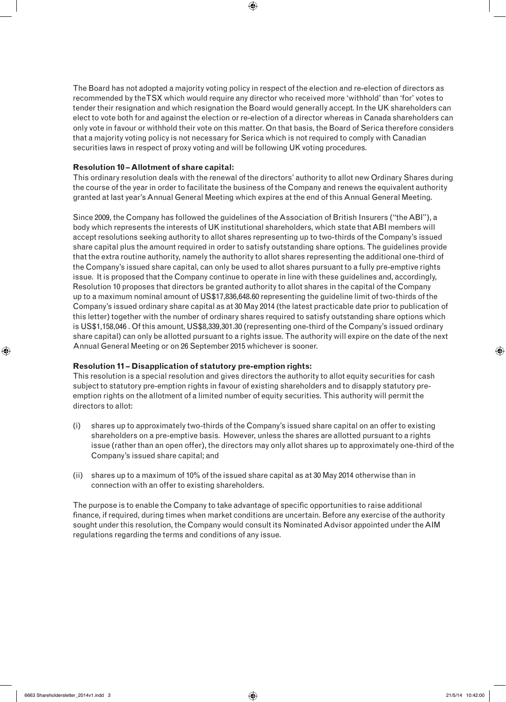The Board has not adopted a majority voting policy in respect of the election and re-election of directors as recommended by the TSX which would require any director who received more 'withhold' than 'for' votes to tender their resignation and which resignation the Board would generally accept. In the UK shareholders can elect to vote both for and against the election or re-election of a director whereas in Canada shareholders can only vote in favour or withhold their vote on this matter. On that basis, the Board of Serica therefore considers that a majority voting policy is not necessary for Serica which is not required to comply with Canadian securities laws in respect of proxy voting and will be following UK voting procedures.

 $\textcircled{\scriptsize{+}}$ 

### **Resolution 10 – Allotment of share capital:**

This ordinary resolution deals with the renewal of the directors' authority to allot new Ordinary Shares during the course of the year in order to facilitate the business of the Company and renews the equivalent authority granted at last year's Annual General Meeting which expires at the end of this Annual General Meeting.

Since 2009, the Company has followed the guidelines of the Association of British Insurers ("the ABI"), a body which represents the interests of UK institutional shareholders, which state that ABI members will accept resolutions seeking authority to allot shares representing up to two-thirds of the Company's issued share capital plus the amount required in order to satisfy outstanding share options. The guidelines provide that the extra routine authority, namely the authority to allot shares representing the additional one-third of the Company's issued share capital, can only be used to allot shares pursuant to a fully pre-emptive rights issue. It is proposed that the Company continue to operate in line with these guidelines and, accordingly, Resolution 10 proposes that directors be granted authority to allot shares in the capital of the Company up to a maximum nominal amount of US\$17,836,648.60 representing the guideline limit of two-thirds of the Company's issued ordinary share capital as at 30 May 2014 (the latest practicable date prior to publication of this letter) together with the number of ordinary shares required to satisfy outstanding share options which is US\$1,158,046 . Of this amount, US\$8,339,301.30 (representing one-third of the Company's issued ordinary share capital) can only be allotted pursuant to a rights issue. The authority will expire on the date of the next Annual General Meeting or on 26 September 2015 whichever is sooner.

# **Resolution 11 – Disapplication of statutory pre-emption rights:**

This resolution is a special resolution and gives directors the authority to allot equity securities for cash subject to statutory pre-emption rights in favour of existing shareholders and to disapply statutory preemption rights on the allotment of a limited number of equity securities. This authority will permit the directors to allot:

- (i) shares up to approximately two-thirds of the Company's issued share capital on an offer to existing shareholders on a pre-emptive basis. However, unless the shares are allotted pursuant to a rights issue (rather than an open offer), the directors may only allot shares up to approximately one-third of the Company's issued share capital; and
- (ii) shares up to a maximum of 10% of the issued share capital as at 30 May 2014 otherwise than in connection with an offer to existing shareholders.

The purpose is to enable the Company to take advantage of specific opportunities to raise additional finance, if required, during times when market conditions are uncertain. Before any exercise of the authority sought under this resolution, the Company would consult its Nominated Advisor appointed under the AIM regulations regarding the terms and conditions of any issue.

⊕

⊕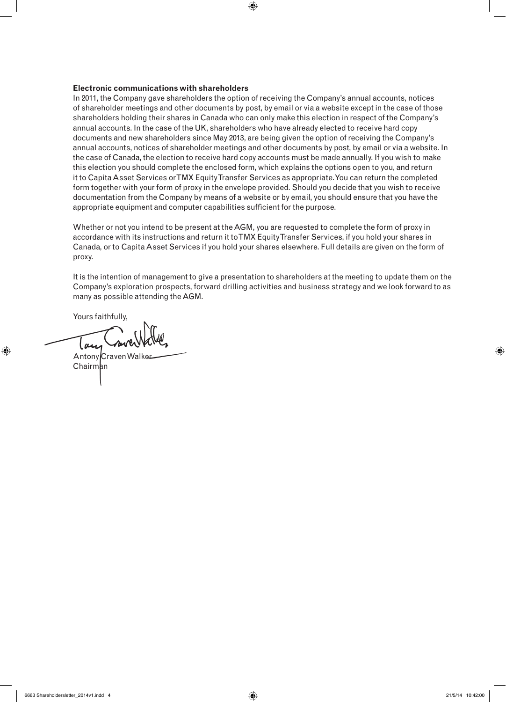## **Electronic communications with shareholders**

In 2011, the Company gave shareholders the option of receiving the Company's annual accounts, notices of shareholder meetings and other documents by post, by email or via a website except in the case of those shareholders holding their shares in Canada who can only make this election in respect of the Company's annual accounts. In the case of the UK, shareholders who have already elected to receive hard copy documents and new shareholders since May 2013, are being given the option of receiving the Company's annual accounts, notices of shareholder meetings and other documents by post, by email or via a website. In the case of Canada, the election to receive hard copy accounts must be made annually. If you wish to make this election you should complete the enclosed form, which explains the options open to you, and return it to Capita Asset Services or TMX Equity Transfer Services as appropriate. You can return the completed form together with your form of proxy in the envelope provided. Should you decide that you wish to receive documentation from the Company by means of a website or by email, you should ensure that you have the appropriate equipment and computer capabilities sufficient for the purpose.

 $\bigoplus$ 

Whether or not you intend to be present at the AGM, you are requested to complete the form of proxy in accordance with its instructions and return it to TMX Equity Transfer Services, if you hold your shares in Canada, or to Capita Asset Services if you hold your shares elsewhere. Full details are given on the form of proxy.

It is the intention of management to give a presentation to shareholders at the meeting to update them on the Company's exploration prospects, forward drilling activities and business strategy and we look forward to as many as possible attending the AGM.

Yours faithfully,

⊕

m

Antony Craven Walke Chairman

6663 Shareholdersletter\_2014v1.indd 4 21/5/14 10:42:00